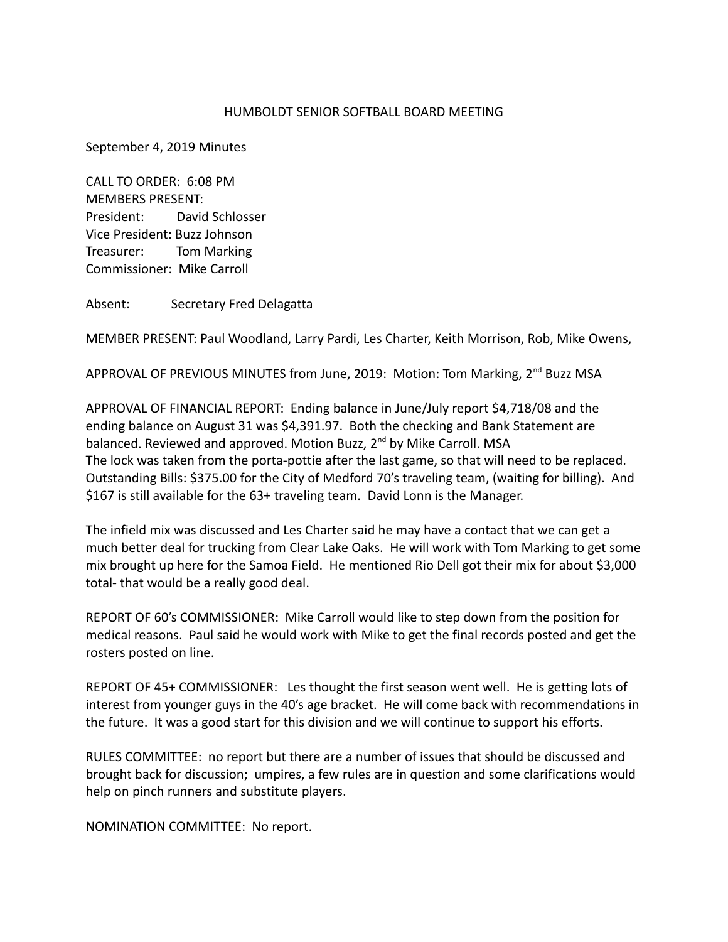## HUMBOLDT SENIOR SOFTBALL BOARD MEETING

September 4, 2019 Minutes

CALL TO ORDER: 6:08 PM MEMBERS PRESENT: President: David Schlosser Vice President: Buzz Johnson Treasurer: Tom Marking Commissioner: Mike Carroll

Absent: Secretary Fred Delagatta

MEMBER PRESENT: Paul Woodland, Larry Pardi, Les Charter, Keith Morrison, Rob, Mike Owens,

APPROVAL OF PREVIOUS MINUTES from June, 2019: Motion: Tom Marking, 2<sup>nd</sup> Buzz MSA

APPROVAL OF FINANCIAL REPORT: Ending balance in June/July report \$4,718/08 and the ending balance on August 31 was \$4,391.97. Both the checking and Bank Statement are balanced. Reviewed and approved. Motion Buzz, 2<sup>nd</sup> by Mike Carroll. MSA The lock was taken from the porta-pottie after the last game, so that will need to be replaced. Outstanding Bills: \$375.00 for the City of Medford 70's traveling team, (waiting for billing). And \$167 is still available for the 63+ traveling team. David Lonn is the Manager.

The infield mix was discussed and Les Charter said he may have a contact that we can get a much better deal for trucking from Clear Lake Oaks. He will work with Tom Marking to get some mix brought up here for the Samoa Field. He mentioned Rio Dell got their mix for about \$3,000 total- that would be a really good deal.

REPORT OF 60's COMMISSIONER: Mike Carroll would like to step down from the position for medical reasons. Paul said he would work with Mike to get the final records posted and get the rosters posted on line.

REPORT OF 45+ COMMISSIONER: Les thought the first season went well. He is getting lots of interest from younger guys in the 40's age bracket. He will come back with recommendations in the future. It was a good start for this division and we will continue to support his efforts.

RULES COMMITTEE: no report but there are a number of issues that should be discussed and brought back for discussion; umpires, a few rules are in question and some clarifications would help on pinch runners and substitute players.

NOMINATION COMMITTEE: No report.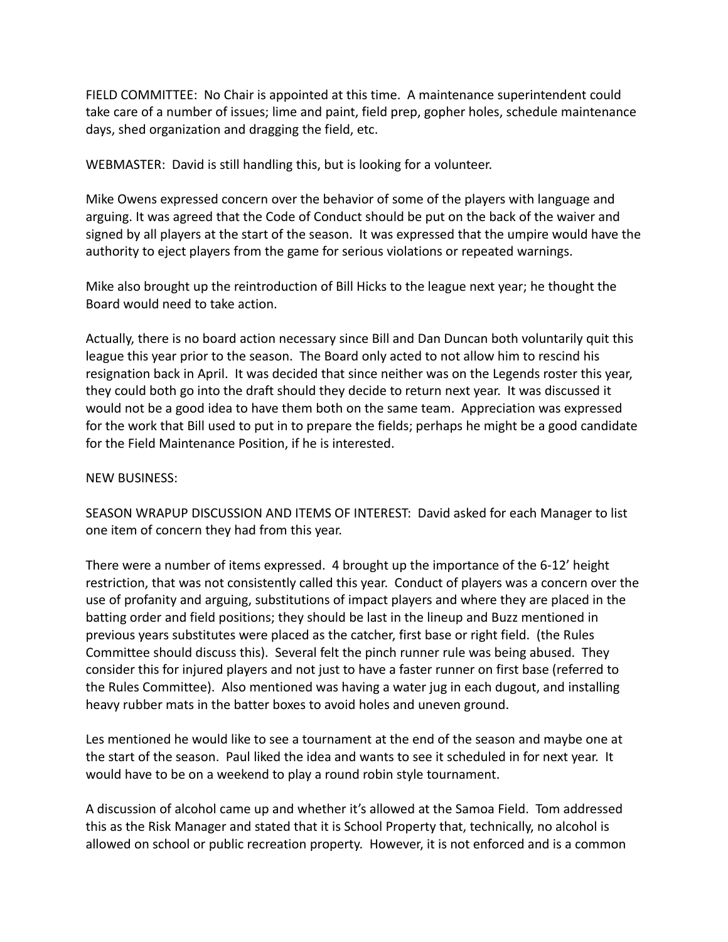FIELD COMMITTEE: No Chair is appointed at this time. A maintenance superintendent could take care of a number of issues; lime and paint, field prep, gopher holes, schedule maintenance days, shed organization and dragging the field, etc.

WEBMASTER: David is still handling this, but is looking for a volunteer.

Mike Owens expressed concern over the behavior of some of the players with language and arguing. It was agreed that the Code of Conduct should be put on the back of the waiver and signed by all players at the start of the season. It was expressed that the umpire would have the authority to eject players from the game for serious violations or repeated warnings.

Mike also brought up the reintroduction of Bill Hicks to the league next year; he thought the Board would need to take action.

Actually, there is no board action necessary since Bill and Dan Duncan both voluntarily quit this league this year prior to the season. The Board only acted to not allow him to rescind his resignation back in April. It was decided that since neither was on the Legends roster this year, they could both go into the draft should they decide to return next year. It was discussed it would not be a good idea to have them both on the same team. Appreciation was expressed for the work that Bill used to put in to prepare the fields; perhaps he might be a good candidate for the Field Maintenance Position, if he is interested.

## NEW BUSINESS:

SEASON WRAPUP DISCUSSION AND ITEMS OF INTEREST: David asked for each Manager to list one item of concern they had from this year.

There were a number of items expressed. 4 brought up the importance of the 6-12' height restriction, that was not consistently called this year. Conduct of players was a concern over the use of profanity and arguing, substitutions of impact players and where they are placed in the batting order and field positions; they should be last in the lineup and Buzz mentioned in previous years substitutes were placed as the catcher, first base or right field. (the Rules Committee should discuss this). Several felt the pinch runner rule was being abused. They consider this for injured players and not just to have a faster runner on first base (referred to the Rules Committee). Also mentioned was having a water jug in each dugout, and installing heavy rubber mats in the batter boxes to avoid holes and uneven ground.

Les mentioned he would like to see a tournament at the end of the season and maybe one at the start of the season. Paul liked the idea and wants to see it scheduled in for next year. It would have to be on a weekend to play a round robin style tournament.

A discussion of alcohol came up and whether it's allowed at the Samoa Field. Tom addressed this as the Risk Manager and stated that it is School Property that, technically, no alcohol is allowed on school or public recreation property. However, it is not enforced and is a common